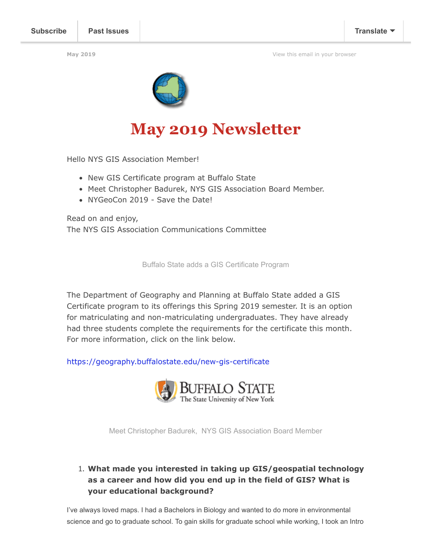**May 2019** [View this email in your browser](https://mailchi.mp/489417bbf343/newsletter-2970753?e=fca453a3fa)



# **May 2019 Newsletter**

Hello NYS GIS Association Member!

- New GIS Certificate program at Buffalo State
- Meet Christopher Badurek, NYS GIS Association Board Member.
- NYGeoCon 2019 Save the Date!

Read on and enjoy, The NYS GIS Association Communications Committee

Buffalo State adds a GIS Certificate Program

The Department of Geography and Planning at Buffalo State added a GIS Certificate program to its offerings this Spring 2019 semester. It is an option for matriculating and non-matriculating undergraduates. They have already had three students complete the requirements for the certificate this month. For more information, click on the link below.

<https://geography.buffalostate.edu/new-gis-certificate>



Meet Christopher Badurek, NYS GIS Association Board Member

#### 1. **What made you interested in taking up GIS/geospatial technology as a career and how did you end up in the field of GIS? What is your educational background?**

I've always loved maps. I had a Bachelors in Biology and wanted to do more in environmental science and go to graduate school. To gain skills for graduate school while working, I took an Intro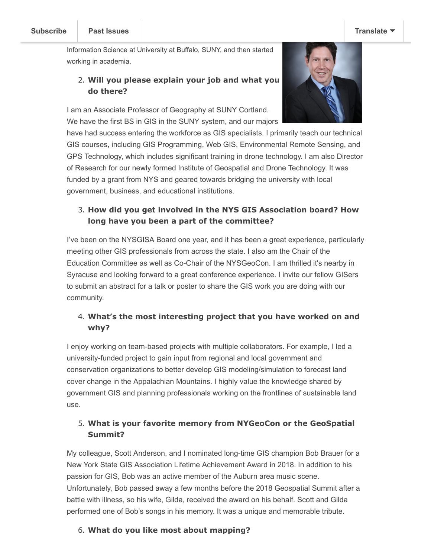Information Science at University at Buffalo, SUNY, and then started working in academia.

continued on to a Ph.D. in Geography focused on Geographic

#### 2. **Will you please explain your job and what you do there?**

I am an Associate Professor of Geography at SUNY Cortland. We have the first BS in GIS in the SUNY system, and our majors



have had success entering the workforce as GIS specialists. I primarily teach our technical GIS courses, including GIS Programming, Web GIS, Environmental Remote Sensing, and GPS Technology, which includes significant training in drone technology. I am also Director of Research for our newly formed Institute of Geospatial and Drone Technology. It was funded by a grant from NYS and geared towards bridging the university with local government, business, and educational institutions.

# 3. **How did you get involved in the NYS GIS Association board? How long have you been a part of the committee?**

I've been on the NYSGISA Board one year, and it has been a great experience, particularly meeting other GIS professionals from across the state. I also am the Chair of the Education Committee as well as Co-Chair of the NYSGeoCon. I am thrilled it's nearby in Syracuse and looking forward to a great conference experience. I invite our fellow GISers to submit an abstract for a talk or poster to share the GIS work you are doing with our community.

# 4. **What's the most interesting project that you have worked on and why?**

I enjoy working on team-based projects with multiple collaborators. For example, I led a university-funded project to gain input from regional and local government and conservation organizations to better develop GIS modeling/simulation to forecast land cover change in the Appalachian Mountains. I highly value the knowledge shared by government GIS and planning professionals working on the frontlines of sustainable land use.

# 5. **What is your favorite memory from NYGeoCon or the GeoSpatial Summit?**

My colleague, Scott Anderson, and I nominated long-time GIS champion Bob Brauer for a New York State GIS Association Lifetime Achievement Award in 2018. In addition to his passion for GIS, Bob was an active member of the Auburn area music scene. Unfortunately, Bob passed away a few months before the 2018 Geospatial Summit after a battle with illness, so his wife, Gilda, received the award on his behalf. Scott and Gilda performed one of Bob's songs in his memory. It was a unique and memorable tribute.

# 6. **What do you like most about mapping?**